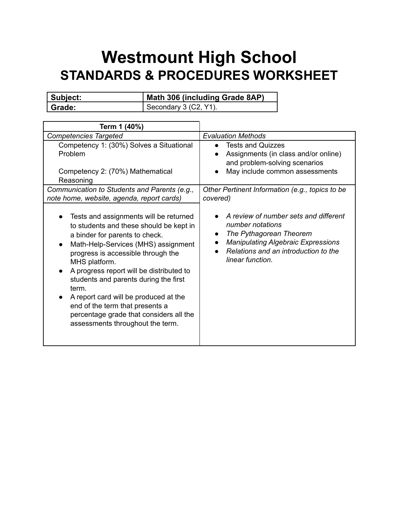## **Westmount High School STANDARDS & PROCEDURES WORKSHEET**

| Subject: | Math 306 (including Grade 8AP) |
|----------|--------------------------------|
| Grade:   | I Secondary 3 (C2, Y1).        |

| Term 1 (40%)                                                                                                                                                                                                                                                                                                                                                                                                                                                                                         |                                                                                                                                                                                                                                      |
|------------------------------------------------------------------------------------------------------------------------------------------------------------------------------------------------------------------------------------------------------------------------------------------------------------------------------------------------------------------------------------------------------------------------------------------------------------------------------------------------------|--------------------------------------------------------------------------------------------------------------------------------------------------------------------------------------------------------------------------------------|
| <b>Competencies Targeted</b>                                                                                                                                                                                                                                                                                                                                                                                                                                                                         | <b>Evaluation Methods</b>                                                                                                                                                                                                            |
| Competency 1: (30%) Solves a Situational<br>Problem<br>Competency 2: (70%) Mathematical<br>Reasoning                                                                                                                                                                                                                                                                                                                                                                                                 | <b>Tests and Quizzes</b><br>$\bullet$<br>Assignments (in class and/or online)<br>and problem-solving scenarios<br>May include common assessments<br>$\bullet$                                                                        |
| Communication to Students and Parents (e.g.,<br>note home, website, agenda, report cards)                                                                                                                                                                                                                                                                                                                                                                                                            | Other Pertinent Information (e.g., topics to be<br>covered)                                                                                                                                                                          |
| Tests and assignments will be returned<br>to students and these should be kept in<br>a binder for parents to check.<br>Math-Help-Services (MHS) assignment<br>$\bullet$<br>progress is accessible through the<br>MHS platform.<br>A progress report will be distributed to<br>$\bullet$<br>students and parents during the first<br>term.<br>A report card will be produced at the<br>end of the term that presents a<br>percentage grade that considers all the<br>assessments throughout the term. | A review of number sets and different<br>number notations<br>The Pythagorean Theorem<br>$\bullet$<br><b>Manipulating Algebraic Expressions</b><br>$\bullet$<br>Relations and an introduction to the<br>$\bullet$<br>linear function. |